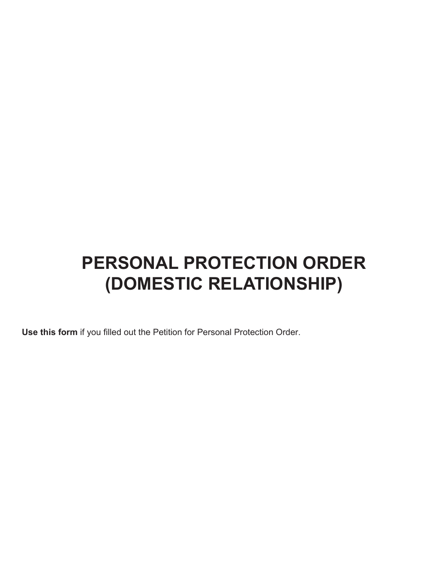# **PERSONAL PROTECTION ORDER (DOMESTIC RELATIONSHIP)**

**Use this form** if you filled out the Petition for Personal Protection Order.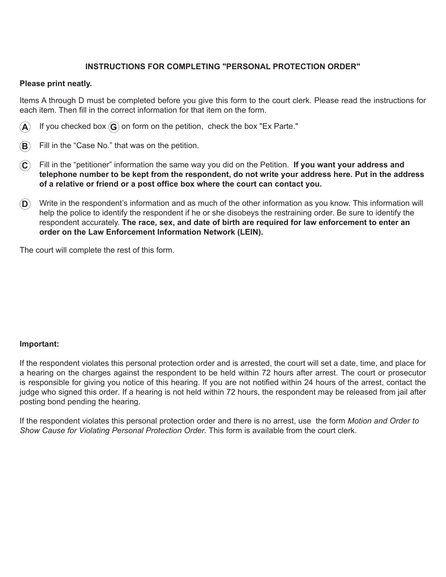# **INSTRUCTIONS FOR COMPLETING "PERSONAL PROTECTION ORDER"**

# **Please print neatly.**

Items A through D must be completed before you give this form to the court clerk. Please read the instructions for each item. Then fill in the correct information for that item on the form.

- $\bf{A}$  If you checked box  $\bf{G}$  on form on the petition, check the box "Ex Parte."
- **B** Fill in the "Case No." that was on the petition.
- **C** Fill in the "petitioner" information the same way you did on the Petition. **If you want your address and telephone number to be kept from the respondent, do not write your address here. Put in the address of a relative or friend or a post office box where the court can contact you.**
- **D** Write in the respondent's information and as much of the other information as you know. This information will help the police to identify the respondent if he or she disobeys the restraining order. Be sure to identify the respondent accurately. **The race, sex, and date of birth are required for law enforcement to enter an order on the Law Enforcement Information Network (LEIN).**

The court will complete the rest of this form.

# **Important:**

If the respondent violates this personal protection order and is arrested, the court will set a date, time, and place for a hearing on the charges against the respondent to be held within 72 hours after arrest. The court or prosecutor is responsible for giving you notice of this hearing. If you are not notified within 24 hours of the arrest, contact the judge who signed this order. If a hearing is not held within 72 hours, the respondent may be released from jail after posting bond pending the hearing.

If the respondent violates this personal protection order and there is no arrest, use the form *Motion and Order to Show Cause for Violating Personal Protection Order.* This form is available from the court clerk.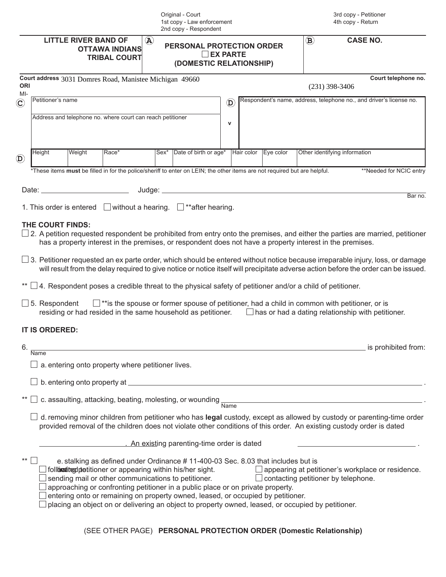|                         | Original - Court<br>1st copy - Law enforcement<br>2nd copy - Respondent |                             |                                                            |                           |                                                                                                                                                                                                                                                                                                                                                                                                                                                                                     |                           | 3rd copy - Petitioner<br>4th copy - Return |                    |                                                                                                                                                                                                                                                                                                                                                                                                                                                                                                                                                                                                                                                     |
|-------------------------|-------------------------------------------------------------------------|-----------------------------|------------------------------------------------------------|---------------------------|-------------------------------------------------------------------------------------------------------------------------------------------------------------------------------------------------------------------------------------------------------------------------------------------------------------------------------------------------------------------------------------------------------------------------------------------------------------------------------------|---------------------------|--------------------------------------------|--------------------|-----------------------------------------------------------------------------------------------------------------------------------------------------------------------------------------------------------------------------------------------------------------------------------------------------------------------------------------------------------------------------------------------------------------------------------------------------------------------------------------------------------------------------------------------------------------------------------------------------------------------------------------------------|
|                         |                                                                         | <b>LITTLE RIVER BAND OF</b> | <b>OTTAWA INDIANS</b><br><b>TRIBAL COURT</b>               | $\left(\mathbf{A}\right)$ | <b>PERSONAL PROTECTION ORDER</b><br>(DOMESTIC RELATIONSHIP)                                                                                                                                                                                                                                                                                                                                                                                                                         | <b>EX PARTE</b>           |                                            | $\bf (\mathbf{B})$ | <b>CASE NO.</b>                                                                                                                                                                                                                                                                                                                                                                                                                                                                                                                                                                                                                                     |
| <b>ORI</b>              |                                                                         |                             | Court address 3031 Domres Road, Manistee Michigan 49660    |                           |                                                                                                                                                                                                                                                                                                                                                                                                                                                                                     |                           |                                            |                    | Court telephone no.<br>$(231)$ 398-3406                                                                                                                                                                                                                                                                                                                                                                                                                                                                                                                                                                                                             |
| $MI-$<br>$(\mathbf{C})$ | Petitioner's name                                                       |                             |                                                            |                           |                                                                                                                                                                                                                                                                                                                                                                                                                                                                                     | $\left(\mathbf{D}\right)$ |                                            |                    | Respondent's name, address, telephone no., and driver's license no.                                                                                                                                                                                                                                                                                                                                                                                                                                                                                                                                                                                 |
|                         |                                                                         |                             | Address and telephone no. where court can reach petitioner |                           |                                                                                                                                                                                                                                                                                                                                                                                                                                                                                     | $\mathsf{v}$              |                                            |                    |                                                                                                                                                                                                                                                                                                                                                                                                                                                                                                                                                                                                                                                     |
| $\mathbf{D}$            | Height                                                                  | Weight                      | Race*                                                      | $Sex^*$                   | Date of birth or age*                                                                                                                                                                                                                                                                                                                                                                                                                                                               | Hair color                | Eye color                                  |                    | Other identifying information                                                                                                                                                                                                                                                                                                                                                                                                                                                                                                                                                                                                                       |
|                         |                                                                         |                             |                                                            |                           | *These items must be filled in for the police/sheriff to enter on LEIN; the other items are not required but are helpful.                                                                                                                                                                                                                                                                                                                                                           |                           |                                            |                    | **Needed for NCIC entry                                                                                                                                                                                                                                                                                                                                                                                                                                                                                                                                                                                                                             |
|                         |                                                                         |                             |                                                            |                           |                                                                                                                                                                                                                                                                                                                                                                                                                                                                                     |                           |                                            |                    |                                                                                                                                                                                                                                                                                                                                                                                                                                                                                                                                                                                                                                                     |
|                         |                                                                         |                             |                                                            |                           | 1. This order is entered $\Box$ without a hearing. $\Box$ **after hearing.                                                                                                                                                                                                                                                                                                                                                                                                          |                           |                                            |                    | Bar no.                                                                                                                                                                                                                                                                                                                                                                                                                                                                                                                                                                                                                                             |
|                         | THE COURT FINDS:<br>$\Box$ 5. Respondent<br><b>IT IS ORDERED:</b>       |                             |                                                            |                           | has a property interest in the premises, or respondent does not have a property interest in the premises.<br>4. Respondent poses a credible threat to the physical safety of petitioner and/or a child of petitioner.                                                                                                                                                                                                                                                               |                           |                                            |                    | $\Box$ 2. A petition requested respondent be prohibited from entry onto the premises, and either the parties are married, petitioner<br>$\Box$ 3. Petitioner requested an ex parte order, which should be entered without notice because irreparable injury, loss, or damage<br>will result from the delay required to give notice or notice itself will precipitate adverse action before the order can be issued.<br>$\Box$ **is the spouse or former spouse of petitioner, had a child in common with petitioner, or is<br>residing or had resided in the same household as petitioner. $\Box$ has or had a dating relationship with petitioner. |
| 6.                      | <b>Name</b>                                                             |                             |                                                            |                           |                                                                                                                                                                                                                                                                                                                                                                                                                                                                                     |                           |                                            |                    | is prohibited from:                                                                                                                                                                                                                                                                                                                                                                                                                                                                                                                                                                                                                                 |
|                         |                                                                         |                             | a. entering onto property where petitioner lives.          |                           |                                                                                                                                                                                                                                                                                                                                                                                                                                                                                     |                           |                                            |                    |                                                                                                                                                                                                                                                                                                                                                                                                                                                                                                                                                                                                                                                     |
|                         |                                                                         |                             |                                                            |                           |                                                                                                                                                                                                                                                                                                                                                                                                                                                                                     |                           |                                            |                    |                                                                                                                                                                                                                                                                                                                                                                                                                                                                                                                                                                                                                                                     |
|                         |                                                                         |                             |                                                            |                           | c. assaulting, attacking, beating, molesting, or wounding $\frac{1}{\text{Name}}$                                                                                                                                                                                                                                                                                                                                                                                                   |                           |                                            |                    | <u> 1980 - Johann Barbara, martxa alemaniar argumento este alemaniar alemaniar alemaniar alemaniar alemaniar al</u>                                                                                                                                                                                                                                                                                                                                                                                                                                                                                                                                 |
|                         |                                                                         |                             |                                                            |                           |                                                                                                                                                                                                                                                                                                                                                                                                                                                                                     |                           |                                            |                    | d. removing minor children from petitioner who has legal custody, except as allowed by custody or parenting-time order<br>provided removal of the children does not violate other conditions of this order. An existing custody order is dated                                                                                                                                                                                                                                                                                                                                                                                                      |
|                         |                                                                         |                             |                                                            |                           | An existing parenting-time order is dated                                                                                                                                                                                                                                                                                                                                                                                                                                           |                           |                                            |                    |                                                                                                                                                                                                                                                                                                                                                                                                                                                                                                                                                                                                                                                     |
| $***$                   |                                                                         |                             |                                                            |                           | e. stalking as defined under Ordinance #11-400-03 Sec. 8.03 that includes but is<br>follimonited pretitioner or appearing within his/her sight.<br>sending mail or other communications to petitioner.<br>approaching or confronting petitioner in a public place or on private property.<br>entering onto or remaining on property owned, leased, or occupied by petitioner.<br>placing an object on or delivering an object to property owned, leased, or occupied by petitioner. |                           |                                            |                    | $\Box$ appearing at petitioner's workplace or residence.<br>$\Box$ contacting petitioner by telephone.                                                                                                                                                                                                                                                                                                                                                                                                                                                                                                                                              |

(SEE OTHER PAGE) **PERSONAL PROTECTION ORDER (Domestic Relationship)**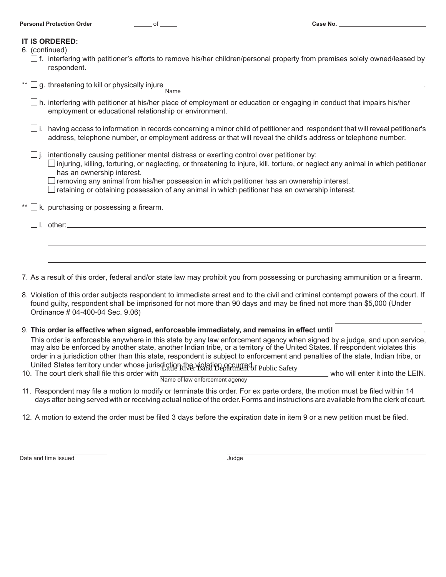| <b>Personal Protection Order</b> |  | Case No. |
|----------------------------------|--|----------|
|----------------------------------|--|----------|

#### **IT IS ORDERED:**

| 6. (continued) |
|----------------|
|                |

 $\Box$  f. interfering with petitioner's efforts to remove his/her children/personal property from premises solely owned/leased by respondent.

\*\*  $\Box$  g. threatening to kill or physically injure  $\frac{1}{\Box}$ 

- $\Box$  h. interfering with petitioner at his/her place of employment or education or engaging in conduct that impairs his/her employment or educational relationship or environment.
- $\square$  i. having access to information in records concerning a minor child of petitioner and respondent that will reveal petitioner's address, telephone number, or employment address or that will reveal the child's address or telephone number.
- $\Box$  i. intentionally causing petitioner mental distress or exerting control over petitioner by:
	- $\Box$  injuring, killing, torturing, or neglecting, or threatening to injure, kill, torture, or neglect any animal in which petitioner has an ownership interest.
	- $\Box$  removing any animal from his/her possession in which petitioner has an ownership interest.
	- $\Box$  retaining or obtaining possession of any animal in which petitioner has an ownership interest.

\*\*  $\Box$  k. purchasing or possessing a firearm.

 $\Box$  I. other: $\_\_$ 

7. As a result of this order, federal and/or state law may prohibit you from possessing or purchasing ammunition or a firearm.

8. Violation of this order subjects respondent to immediate arrest and to the civil and criminal contempt powers of the court. If found guilty, respondent shall be imprisoned for not more than 90 days and may be fined not more than \$5,000 (Under Ordinance # 04-400-04 Sec. 9.06)

## 9. **This order is effective when signed, enforceable immediately, and remains in effect until** .

This order is enforceable anywhere in this state by any law enforcement agency when signed by a judge, and upon service, may also be enforced by another state, another Indian tribe, or a territory of the United States. If respondent violates this order in a jurisdiction other than this state, respondent is subject to enforcement and penalties of the state, Indian tribe, or

United States territory under whose jurisdiction the violation occurred.<br>
The River Band Department of Public Safety 10. The court clerk shall file this order with  $\frac{1}{\text{Name of law enforcement agency}}$  who will enter it into the LEIN.

- 11. Respondent may file a motion to modify or terminate this order. For ex parte orders, the motion must be filed within 14 days after being served with or receiving actual notice of the order. Forms and instructions are available from the clerk of court.
- 12. A motion to extend the order must be filed 3 days before the expiration date in item 9 or a new petition must be filed.

Date and time issued Judge